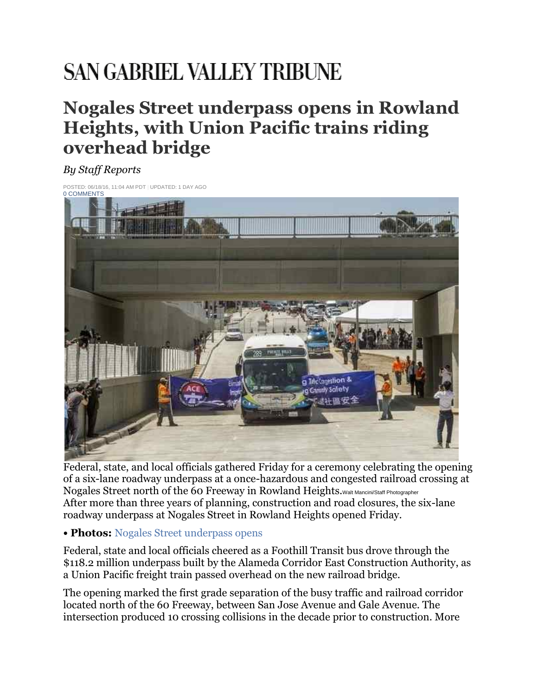## **SAN GABRIEL VALLEY TRIBUNE**

## **Nogales Street underpass opens in Rowland Heights, with Union Pacific trains riding overhead bridge**

## *By Staff Reports*

POSTED: 06/18/16, 11:04 AM PDT | UPDATED: 1 DAY AGO<br>**[0 COMMENTS](http://www.sgvtribune.com/general-news/20160618/nogales-street-underpass-opens-in-rowland-heights-with-union-pacific-trains-riding-overhead-bridge#disqus_thread)** 



Federal, state, and local officials gathered Friday for a ceremony celebrating the opening of a six-lane roadway underpass at a once-hazardous and congested railroad crossing at Nogales Street north of the 60 Freeway in Rowland Heights. Walt Mancini/Staff Photographer After more than three years of planning, construction and road closures, the six-lane roadway underpass at Nogales Street in Rowland Heights opened Friday.

## **• Photos:** [Nogales Street underpass opens](http://photos.pasadenastarnews.com/2016/06/17/photos-officials-dedicate-roadway-underpass-to-replace-hazardous-congested-railroad-crossing-in-roland-heights/#1)

Federal, state and local officials cheered as a Foothill Transit bus drove through the \$118.2 million underpass built by the Alameda Corridor East Construction Authority, as a Union Pacific freight train passed overhead on the new railroad bridge.

The opening marked the first grade separation of the busy traffic and railroad corridor located north of the 60 Freeway, between San Jose Avenue and Gale Avenue. The intersection produced 10 crossing collisions in the decade prior to construction. More